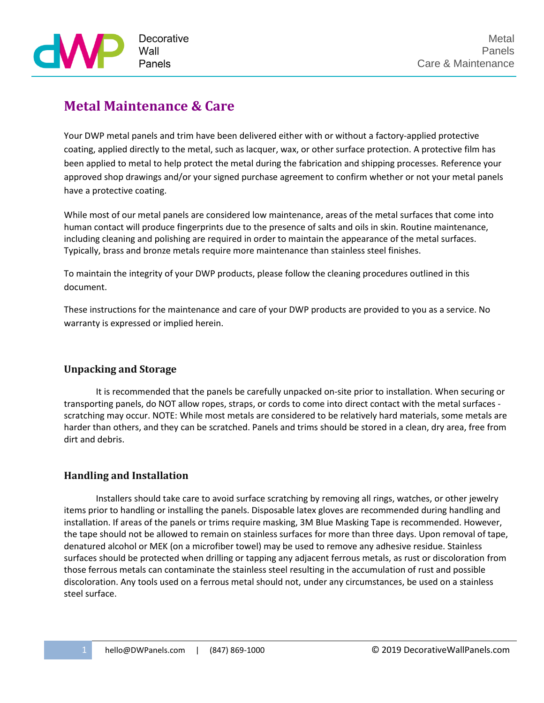

# **Metal Maintenance & Care**

Your DWP metal panels and trim have been delivered either with or without a factory-applied protective coating, applied directly to the metal, such as lacquer, wax, or other surface protection. A protective film has been applied to metal to help protect the metal during the fabrication and shipping processes. Reference your approved shop drawings and/or your signed purchase agreement to confirm whether or not your metal panels have a protective coating.

While most of our metal panels are considered low maintenance, areas of the metal surfaces that come into human contact will produce fingerprints due to the presence of salts and oils in skin. Routine maintenance, including cleaning and polishing are required in order to maintain the appearance of the metal surfaces. Typically, brass and bronze metals require more maintenance than stainless steel finishes.

To maintain the integrity of your DWP products, please follow the cleaning procedures outlined in this document.

These instructions for the maintenance and care of your DWP products are provided to you as a service. No warranty is expressed or implied herein.

# **Unpacking and Storage**

It is recommended that the panels be carefully unpacked on-site prior to installation. When securing or transporting panels, do NOT allow ropes, straps, or cords to come into direct contact with the metal surfaces scratching may occur. NOTE: While most metals are considered to be relatively hard materials, some metals are harder than others, and they can be scratched. Panels and trims should be stored in a clean, dry area, free from dirt and debris.

# **Handling and Installation**

Installers should take care to avoid surface scratching by removing all rings, watches, or other jewelry items prior to handling or installing the panels. Disposable latex gloves are recommended during handling and installation. If areas of the panels or trims require masking, 3M Blue Masking Tape is recommended. However, the tape should not be allowed to remain on stainless surfaces for more than three days. Upon removal of tape, denatured alcohol or MEK (on a microfiber towel) may be used to remove any adhesive residue. Stainless surfaces should be protected when drilling or tapping any adjacent ferrous metals, as rust or discoloration from those ferrous metals can contaminate the stainless steel resulting in the accumulation of rust and possible discoloration. Any tools used on a ferrous metal should not, under any circumstances, be used on a stainless steel surface.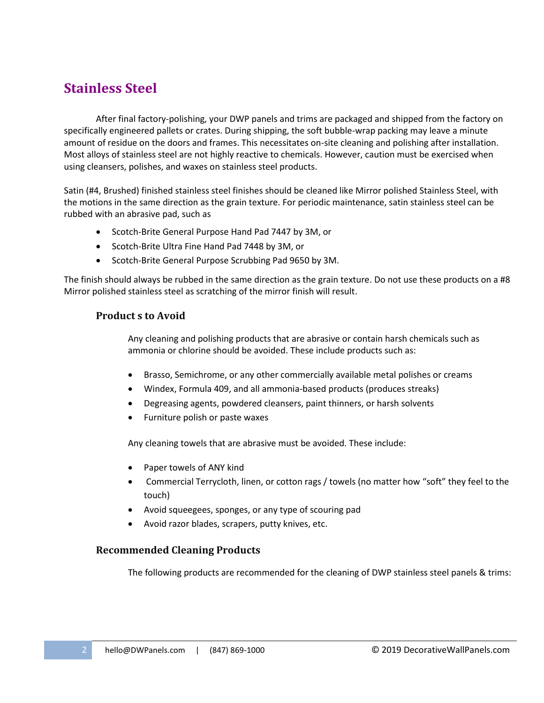# **Stainless Steel**

After final factory-polishing, your DWP panels and trims are packaged and shipped from the factory on specifically engineered pallets or crates. During shipping, the soft bubble-wrap packing may leave a minute amount of residue on the doors and frames. This necessitates on-site cleaning and polishing after installation. Most alloys of stainless steel are not highly reactive to chemicals. However, caution must be exercised when using cleansers, polishes, and waxes on stainless steel products.

Satin (#4, Brushed) finished stainless steel finishes should be cleaned like Mirror polished Stainless Steel, with the motions in the same direction as the grain texture. For periodic maintenance, satin stainless steel can be rubbed with an abrasive pad, such as

- Scotch-Brite General Purpose Hand Pad 7447 by 3M, or
- Scotch-Brite Ultra Fine Hand Pad 7448 by 3M, or
- Scotch-Brite General Purpose Scrubbing Pad 9650 by 3M.

The finish should always be rubbed in the same direction as the grain texture. Do not use these products on a #8 Mirror polished stainless steel as scratching of the mirror finish will result.

## **Product s to Avoid**

Any cleaning and polishing products that are abrasive or contain harsh chemicals such as ammonia or chlorine should be avoided. These include products such as:

- Brasso, Semichrome, or any other commercially available metal polishes or creams
- Windex, Formula 409, and all ammonia-based products (produces streaks)
- Degreasing agents, powdered cleansers, paint thinners, or harsh solvents
- Furniture polish or paste waxes

Any cleaning towels that are abrasive must be avoided. These include:

- Paper towels of ANY kind
- Commercial Terrycloth, linen, or cotton rags / towels (no matter how "soft" they feel to the touch)
- Avoid squeegees, sponges, or any type of scouring pad
- Avoid razor blades, scrapers, putty knives, etc.

## **Recommended Cleaning Products**

The following products are recommended for the cleaning of DWP stainless steel panels & trims: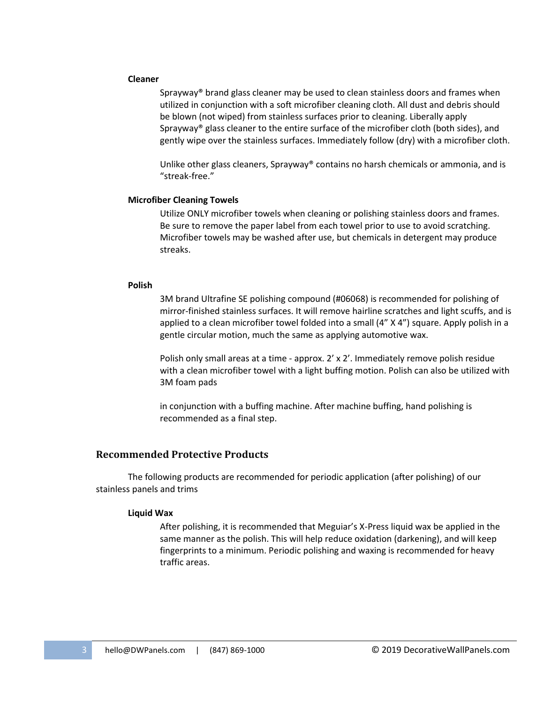#### **Cleaner**

Sprayway® brand glass cleaner may be used to clean stainless doors and frames when utilized in conjunction with a soft microfiber cleaning cloth. All dust and debris should be blown (not wiped) from stainless surfaces prior to cleaning. Liberally apply Sprayway<sup>®</sup> glass cleaner to the entire surface of the microfiber cloth (both sides), and gently wipe over the stainless surfaces. Immediately follow (dry) with a microfiber cloth.

Unlike other glass cleaners, Sprayway<sup>®</sup> contains no harsh chemicals or ammonia, and is "streak-free."

#### **Microfiber Cleaning Towels**

Utilize ONLY microfiber towels when cleaning or polishing stainless doors and frames. Be sure to remove the paper label from each towel prior to use to avoid scratching. Microfiber towels may be washed after use, but chemicals in detergent may produce streaks.

### **Polish**

3M brand Ultrafine SE polishing compound (#06068) is recommended for polishing of mirror-finished stainless surfaces. It will remove hairline scratches and light scuffs, and is applied to a clean microfiber towel folded into a small (4" X 4") square. Apply polish in a gentle circular motion, much the same as applying automotive wax.

Polish only small areas at a time - approx. 2' x 2'. Immediately remove polish residue with a clean microfiber towel with a light buffing motion. Polish can also be utilized with 3M foam pads

in conjunction with a buffing machine. After machine buffing, hand polishing is recommended as a final step.

## **Recommended Protective Products**

The following products are recommended for periodic application (after polishing) of our stainless panels and trims

#### **Liquid Wax**

After polishing, it is recommended that Meguiar's X-Press liquid wax be applied in the same manner as the polish. This will help reduce oxidation (darkening), and will keep fingerprints to a minimum. Periodic polishing and waxing is recommended for heavy traffic areas.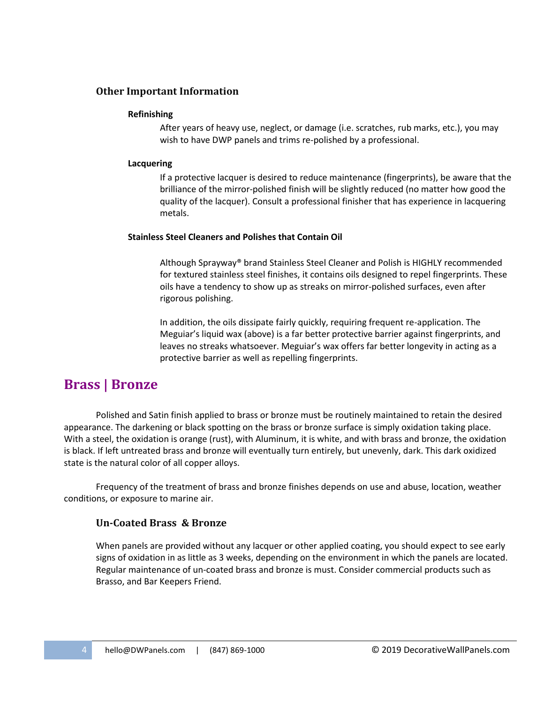## **Other Important Information**

## **Refinishing**

After years of heavy use, neglect, or damage (i.e. scratches, rub marks, etc.), you may wish to have DWP panels and trims re-polished by a professional.

### **Lacquering**

If a protective lacquer is desired to reduce maintenance (fingerprints), be aware that the brilliance of the mirror-polished finish will be slightly reduced (no matter how good the quality of the lacquer). Consult a professional finisher that has experience in lacquering metals.

### **Stainless Steel Cleaners and Polishes that Contain Oil**

Although Sprayway® brand Stainless Steel Cleaner and Polish is HIGHLY recommended for textured stainless steel finishes, it contains oils designed to repel fingerprints. These oils have a tendency to show up as streaks on mirror-polished surfaces, even after rigorous polishing.

In addition, the oils dissipate fairly quickly, requiring frequent re-application. The Meguiar's liquid wax (above) is a far better protective barrier against fingerprints, and leaves no streaks whatsoever. Meguiar's wax offers far better longevity in acting as a protective barrier as well as repelling fingerprints.

# **Brass | Bronze**

Polished and Satin finish applied to brass or bronze must be routinely maintained to retain the desired appearance. The darkening or black spotting on the brass or bronze surface is simply oxidation taking place. With a steel, the oxidation is orange (rust), with Aluminum, it is white, and with brass and bronze, the oxidation is black. If left untreated brass and bronze will eventually turn entirely, but unevenly, dark. This dark oxidized state is the natural color of all copper alloys.

Frequency of the treatment of brass and bronze finishes depends on use and abuse, location, weather conditions, or exposure to marine air.

## **Un-Coated Brass & Bronze**

When panels are provided without any lacquer or other applied coating, you should expect to see early signs of oxidation in as little as 3 weeks, depending on the environment in which the panels are located. Regular maintenance of un-coated brass and bronze is must. Consider commercial products such as Brasso, and Bar Keepers Friend.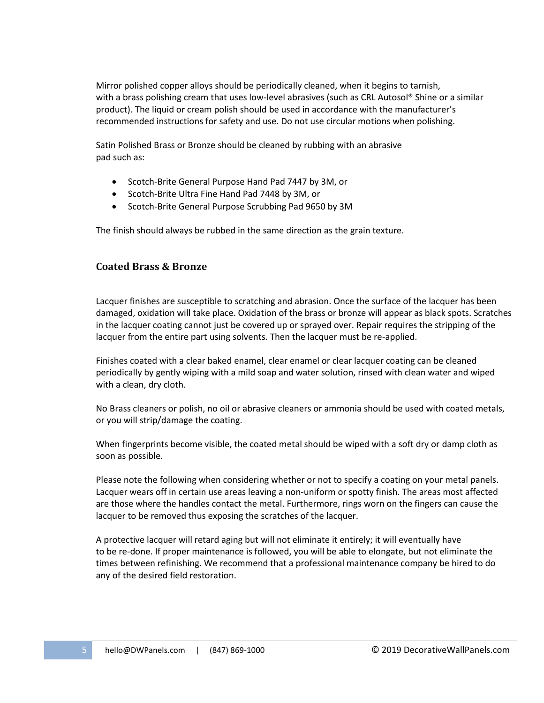Mirror polished copper alloys should be periodically cleaned, when it begins to tarnish, with a brass polishing cream that uses low-level abrasives (such as CRL Autosol® Shine or a similar product). The liquid or cream polish should be used in accordance with the manufacturer's recommended instructions for safety and use. Do not use circular motions when polishing.

Satin Polished Brass or Bronze should be cleaned by rubbing with an abrasive pad such as:

- Scotch-Brite General Purpose Hand Pad 7447 by 3M, or
- Scotch-Brite Ultra Fine Hand Pad 7448 by 3M, or
- Scotch-Brite General Purpose Scrubbing Pad 9650 by 3M

The finish should always be rubbed in the same direction as the grain texture.

## **Coated Brass & Bronze**

Lacquer finishes are susceptible to scratching and abrasion. Once the surface of the lacquer has been damaged, oxidation will take place. Oxidation of the brass or bronze will appear as black spots. Scratches in the lacquer coating cannot just be covered up or sprayed over. Repair requires the stripping of the lacquer from the entire part using solvents. Then the lacquer must be re-applied.

Finishes coated with a clear baked enamel, clear enamel or clear lacquer coating can be cleaned periodically by gently wiping with a mild soap and water solution, rinsed with clean water and wiped with a clean, dry cloth.

No Brass cleaners or polish, no oil or abrasive cleaners or ammonia should be used with coated metals, or you will strip/damage the coating.

When fingerprints become visible, the coated metal should be wiped with a soft dry or damp cloth as soon as possible.

Please note the following when considering whether or not to specify a coating on your metal panels. Lacquer wears off in certain use areas leaving a non-uniform or spotty finish. The areas most affected are those where the handles contact the metal. Furthermore, rings worn on the fingers can cause the lacquer to be removed thus exposing the scratches of the lacquer.

A protective lacquer will retard aging but will not eliminate it entirely; it will eventually have to be re-done. If proper maintenance is followed, you will be able to elongate, but not eliminate the times between refinishing. We recommend that a professional maintenance company be hired to do any of the desired field restoration.